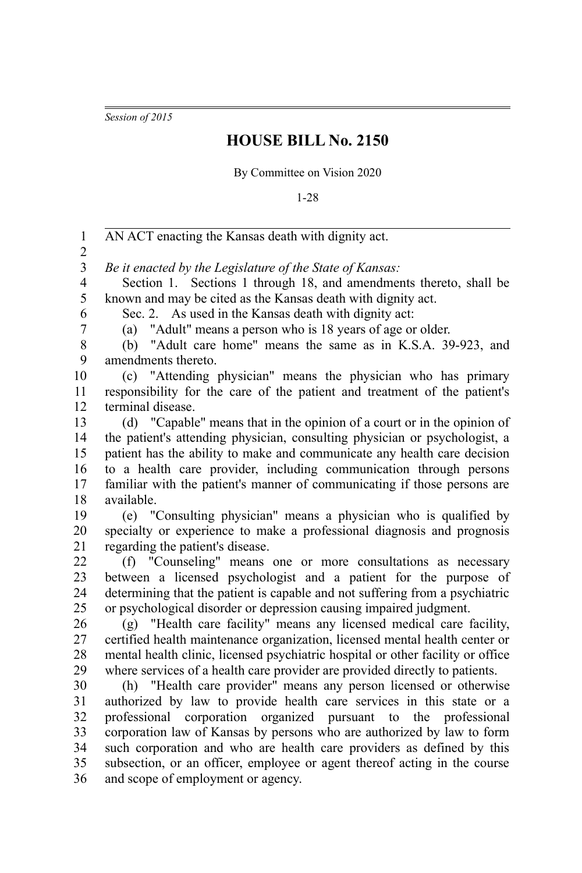*Session of 2015*

## **HOUSE BILL No. 2150**

By Committee on Vision 2020

1-28

AN ACT enacting the Kansas death with dignity act. *Be it enacted by the Legislature of the State of Kansas:* Section 1. Sections 1 through 18, and amendments thereto, shall be known and may be cited as the Kansas death with dignity act. Sec. 2. As used in the Kansas death with dignity act: (a) "Adult" means a person who is 18 years of age or older. (b) "Adult care home" means the same as in K.S.A. 39-923, and amendments thereto. (c) "Attending physician" means the physician who has primary responsibility for the care of the patient and treatment of the patient's terminal disease. (d) "Capable" means that in the opinion of a court or in the opinion of the patient's attending physician, consulting physician or psychologist, a patient has the ability to make and communicate any health care decision to a health care provider, including communication through persons familiar with the patient's manner of communicating if those persons are available. (e) "Consulting physician" means a physician who is qualified by specialty or experience to make a professional diagnosis and prognosis regarding the patient's disease. (f) "Counseling" means one or more consultations as necessary between a licensed psychologist and a patient for the purpose of determining that the patient is capable and not suffering from a psychiatric or psychological disorder or depression causing impaired judgment. (g) "Health care facility" means any licensed medical care facility, certified health maintenance organization, licensed mental health center or mental health clinic, licensed psychiatric hospital or other facility or office where services of a health care provider are provided directly to patients. (h) "Health care provider" means any person licensed or otherwise authorized by law to provide health care services in this state or a professional corporation organized pursuant to the professional corporation law of Kansas by persons who are authorized by law to form such corporation and who are health care providers as defined by this subsection, or an officer, employee or agent thereof acting in the course and scope of employment or agency. 1 2 3 4 5 6 7 8 9 10 11 12 13 14 15 16 17 18 19 20 21 22 23 24 25 26 27 28 29 30 31 32 33 34 35 36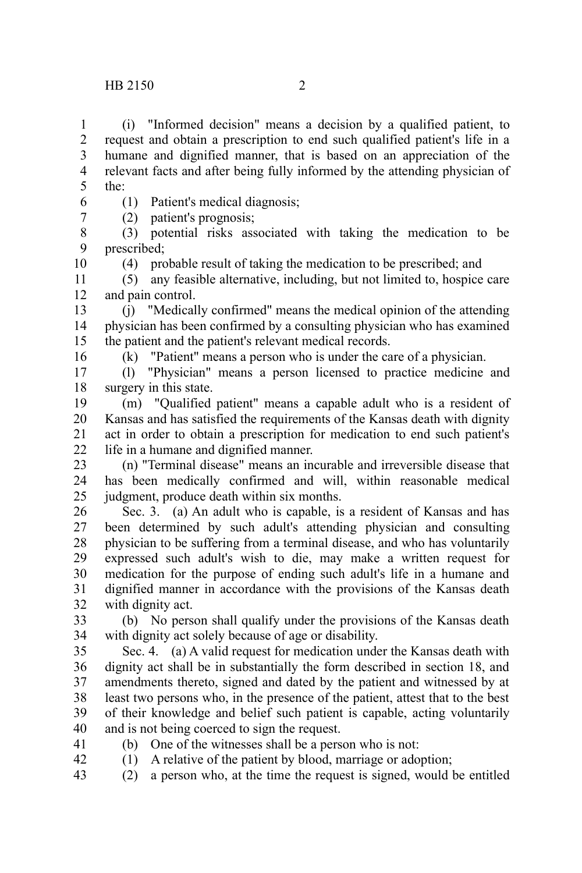(i) "Informed decision" means a decision by a qualified patient, to request and obtain a prescription to end such qualified patient's life in a humane and dignified manner, that is based on an appreciation of the relevant facts and after being fully informed by the attending physician of the: 1 2 3 4 5

- (1) Patient's medical diagnosis; 6
	- (2) patient's prognosis;

(3) potential risks associated with taking the medication to be prescribed; 8 9 10

(4) probable result of taking the medication to be prescribed; and

(5) any feasible alternative, including, but not limited to, hospice care and pain control. 11 12

(j) "Medically confirmed" means the medical opinion of the attending physician has been confirmed by a consulting physician who has examined the patient and the patient's relevant medical records. 13 14 15

16

7

(k) "Patient" means a person who is under the care of a physician.

(l) "Physician" means a person licensed to practice medicine and surgery in this state. 17 18

(m) "Qualified patient" means a capable adult who is a resident of Kansas and has satisfied the requirements of the Kansas death with dignity act in order to obtain a prescription for medication to end such patient's life in a humane and dignified manner. 19 20 21 22

(n) "Terminal disease" means an incurable and irreversible disease that has been medically confirmed and will, within reasonable medical judgment, produce death within six months. 23 24 25

Sec. 3. (a) An adult who is capable, is a resident of Kansas and has been determined by such adult's attending physician and consulting physician to be suffering from a terminal disease, and who has voluntarily expressed such adult's wish to die, may make a written request for medication for the purpose of ending such adult's life in a humane and dignified manner in accordance with the provisions of the Kansas death with dignity act. 26 27 28 29 30 31 32

(b) No person shall qualify under the provisions of the Kansas death with dignity act solely because of age or disability. 33 34

Sec. 4. (a) A valid request for medication under the Kansas death with dignity act shall be in substantially the form described in section 18, and amendments thereto, signed and dated by the patient and witnessed by at least two persons who, in the presence of the patient, attest that to the best of their knowledge and belief such patient is capable, acting voluntarily and is not being coerced to sign the request. 35 36 37 38 39 40

- 41 42
- (b) One of the witnesses shall be a person who is not:
- (1) A relative of the patient by blood, marriage or adoption;
- (2) a person who, at the time the request is signed, would be entitled 43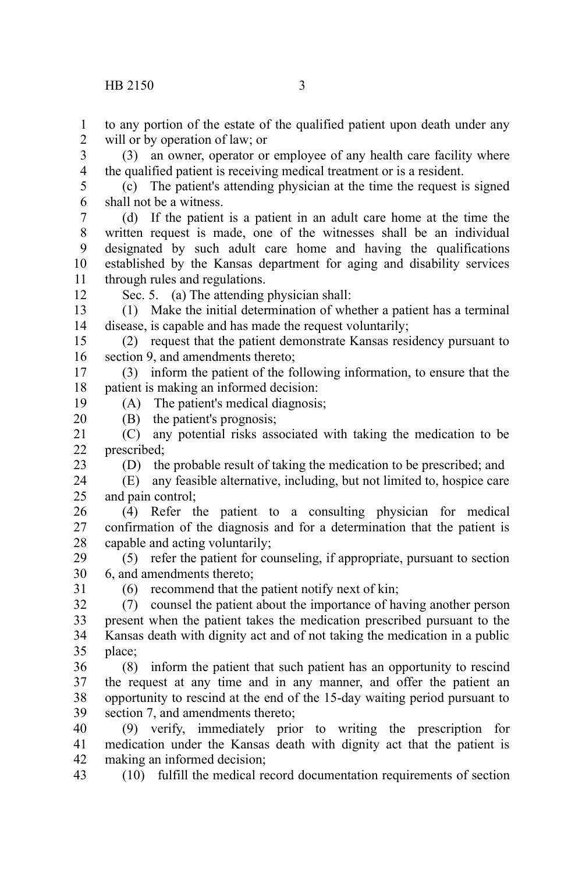to any portion of the estate of the qualified patient upon death under any will or by operation of law; or 1 2

(3) an owner, operator or employee of any health care facility where the qualified patient is receiving medical treatment or is a resident. 3 4

(c) The patient's attending physician at the time the request is signed shall not be a witness. 5 6

(d) If the patient is a patient in an adult care home at the time the written request is made, one of the witnesses shall be an individual designated by such adult care home and having the qualifications established by the Kansas department for aging and disability services through rules and regulations. 7 8 9 10 11

12

19

23

Sec. 5. (a) The attending physician shall:

(1) Make the initial determination of whether a patient has a terminal disease, is capable and has made the request voluntarily; 13 14

(2) request that the patient demonstrate Kansas residency pursuant to section 9, and amendments thereto; 15 16

(3) inform the patient of the following information, to ensure that the patient is making an informed decision: 17 18

(A) The patient's medical diagnosis;

(B) the patient's prognosis; 20

(C) any potential risks associated with taking the medication to be prescribed; 21 22

(D) the probable result of taking the medication to be prescribed; and

(E) any feasible alternative, including, but not limited to, hospice care and pain control; 24 25

(4) Refer the patient to a consulting physician for medical confirmation of the diagnosis and for a determination that the patient is capable and acting voluntarily; 26 27 28

(5) refer the patient for counseling, if appropriate, pursuant to section 6, and amendments thereto; 29 30

31

(6) recommend that the patient notify next of kin;

(7) counsel the patient about the importance of having another person present when the patient takes the medication prescribed pursuant to the Kansas death with dignity act and of not taking the medication in a public place; 32 33 34 35

(8) inform the patient that such patient has an opportunity to rescind the request at any time and in any manner, and offer the patient an opportunity to rescind at the end of the 15-day waiting period pursuant to section 7, and amendments thereto; 36 37 38 39

(9) verify, immediately prior to writing the prescription for medication under the Kansas death with dignity act that the patient is making an informed decision; 40 41 42

(10) fulfill the medical record documentation requirements of section 43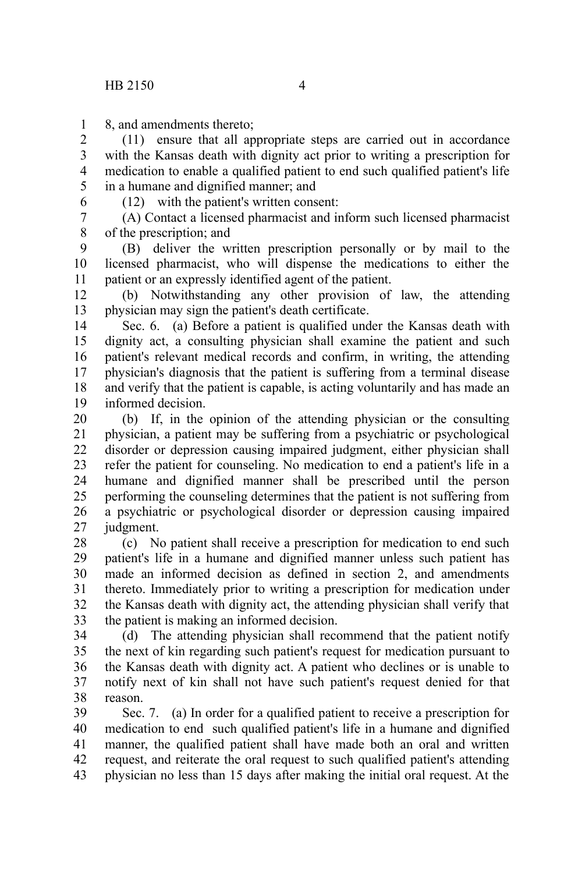8, and amendments thereto; 1

(11) ensure that all appropriate steps are carried out in accordance with the Kansas death with dignity act prior to writing a prescription for medication to enable a qualified patient to end such qualified patient's life in a humane and dignified manner; and 2 3 4 5

6

(12) with the patient's written consent:

(A) Contact a licensed pharmacist and inform such licensed pharmacist of the prescription; and 7 8

(B) deliver the written prescription personally or by mail to the licensed pharmacist, who will dispense the medications to either the patient or an expressly identified agent of the patient. 9 10 11

(b) Notwithstanding any other provision of law, the attending physician may sign the patient's death certificate. 12 13

Sec. 6. (a) Before a patient is qualified under the Kansas death with dignity act, a consulting physician shall examine the patient and such patient's relevant medical records and confirm, in writing, the attending physician's diagnosis that the patient is suffering from a terminal disease and verify that the patient is capable, is acting voluntarily and has made an informed decision. 14 15 16 17 18 19

(b) If, in the opinion of the attending physician or the consulting physician, a patient may be suffering from a psychiatric or psychological disorder or depression causing impaired judgment, either physician shall refer the patient for counseling. No medication to end a patient's life in a humane and dignified manner shall be prescribed until the person performing the counseling determines that the patient is not suffering from a psychiatric or psychological disorder or depression causing impaired judgment. 20 21 22 23 24 25 26 27

(c) No patient shall receive a prescription for medication to end such patient's life in a humane and dignified manner unless such patient has made an informed decision as defined in section 2, and amendments thereto. Immediately prior to writing a prescription for medication under the Kansas death with dignity act, the attending physician shall verify that the patient is making an informed decision. 28 29 30 31 32 33

(d) The attending physician shall recommend that the patient notify the next of kin regarding such patient's request for medication pursuant to the Kansas death with dignity act. A patient who declines or is unable to notify next of kin shall not have such patient's request denied for that reason. 34 35 36 37 38

Sec. 7. (a) In order for a qualified patient to receive a prescription for medication to end such qualified patient's life in a humane and dignified manner, the qualified patient shall have made both an oral and written request, and reiterate the oral request to such qualified patient's attending physician no less than 15 days after making the initial oral request. At the 39 40 41 42 43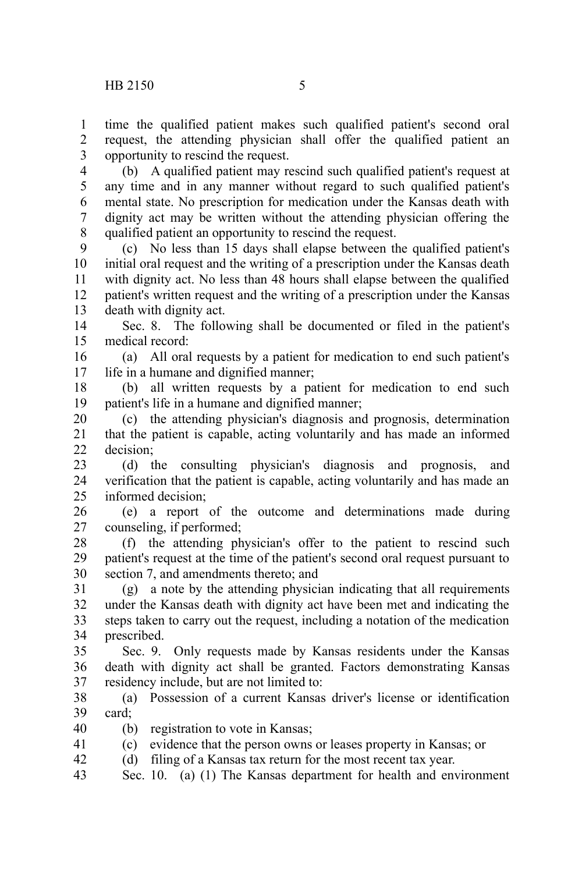time the qualified patient makes such qualified patient's second oral request, the attending physician shall offer the qualified patient an opportunity to rescind the request. 1 2 3

(b) A qualified patient may rescind such qualified patient's request at any time and in any manner without regard to such qualified patient's mental state. No prescription for medication under the Kansas death with dignity act may be written without the attending physician offering the qualified patient an opportunity to rescind the request. 4 5 6 7 8

(c) No less than 15 days shall elapse between the qualified patient's initial oral request and the writing of a prescription under the Kansas death with dignity act. No less than 48 hours shall elapse between the qualified patient's written request and the writing of a prescription under the Kansas death with dignity act. 9 10 11 12 13

Sec. 8. The following shall be documented or filed in the patient's medical record: 14 15

(a) All oral requests by a patient for medication to end such patient's life in a humane and dignified manner; 16 17

(b) all written requests by a patient for medication to end such patient's life in a humane and dignified manner; 18 19

(c) the attending physician's diagnosis and prognosis, determination that the patient is capable, acting voluntarily and has made an informed decision; 20 21 22

(d) the consulting physician's diagnosis and prognosis, and verification that the patient is capable, acting voluntarily and has made an informed decision; 23 24 25

(e) a report of the outcome and determinations made during counseling, if performed; 26 27

(f) the attending physician's offer to the patient to rescind such patient's request at the time of the patient's second oral request pursuant to section 7, and amendments thereto; and 28 29 30

(g) a note by the attending physician indicating that all requirements under the Kansas death with dignity act have been met and indicating the steps taken to carry out the request, including a notation of the medication prescribed. 31 32 33 34

Sec. 9. Only requests made by Kansas residents under the Kansas death with dignity act shall be granted. Factors demonstrating Kansas residency include, but are not limited to: 35 36 37

(a) Possession of a current Kansas driver's license or identification card; 38 39

(b) registration to vote in Kansas; 40

(c) evidence that the person owns or leases property in Kansas; or 41

(d) filing of a Kansas tax return for the most recent tax year. 42

Sec. 10. (a) (1) The Kansas department for health and environment 43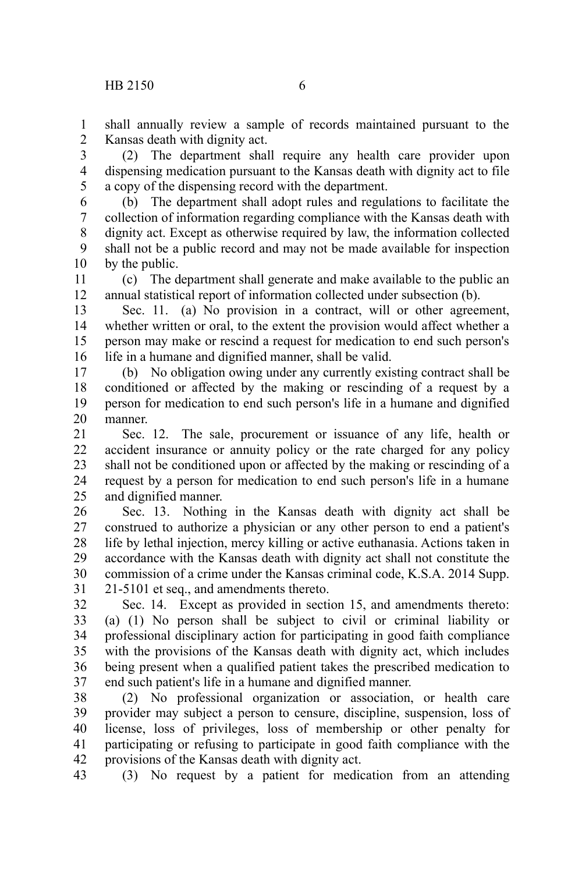shall annually review a sample of records maintained pursuant to the Kansas death with dignity act. 1 2

(2) The department shall require any health care provider upon dispensing medication pursuant to the Kansas death with dignity act to file a copy of the dispensing record with the department. 3 4 5

(b) The department shall adopt rules and regulations to facilitate the collection of information regarding compliance with the Kansas death with dignity act. Except as otherwise required by law, the information collected shall not be a public record and may not be made available for inspection by the public. 6 7 8 9 10

(c) The department shall generate and make available to the public an annual statistical report of information collected under subsection (b). 11 12

Sec. 11. (a) No provision in a contract, will or other agreement, whether written or oral, to the extent the provision would affect whether a person may make or rescind a request for medication to end such person's life in a humane and dignified manner, shall be valid. 13 14 15 16

(b) No obligation owing under any currently existing contract shall be conditioned or affected by the making or rescinding of a request by a person for medication to end such person's life in a humane and dignified manner. 17 18 19 20

Sec. 12. The sale, procurement or issuance of any life, health or accident insurance or annuity policy or the rate charged for any policy shall not be conditioned upon or affected by the making or rescinding of a request by a person for medication to end such person's life in a humane and dignified manner. 21 22 23 24 25

Sec. 13. Nothing in the Kansas death with dignity act shall be construed to authorize a physician or any other person to end a patient's life by lethal injection, mercy killing or active euthanasia. Actions taken in accordance with the Kansas death with dignity act shall not constitute the commission of a crime under the Kansas criminal code, K.S.A. 2014 Supp. 21-5101 et seq., and amendments thereto. 26 27 28 29 30 31

Sec. 14. Except as provided in section 15, and amendments thereto: (a) (1) No person shall be subject to civil or criminal liability or professional disciplinary action for participating in good faith compliance with the provisions of the Kansas death with dignity act, which includes being present when a qualified patient takes the prescribed medication to end such patient's life in a humane and dignified manner. 32 33 34 35 36 37

(2) No professional organization or association, or health care provider may subject a person to censure, discipline, suspension, loss of license, loss of privileges, loss of membership or other penalty for participating or refusing to participate in good faith compliance with the provisions of the Kansas death with dignity act. 38 39 40 41 42

(3) No request by a patient for medication from an attending 43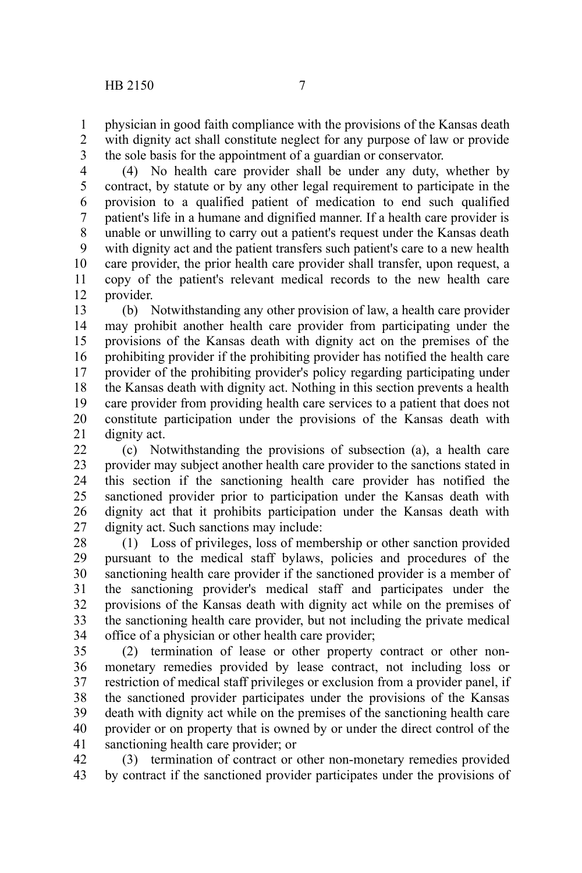physician in good faith compliance with the provisions of the Kansas death with dignity act shall constitute neglect for any purpose of law or provide the sole basis for the appointment of a guardian or conservator. 1 2 3

(4) No health care provider shall be under any duty, whether by contract, by statute or by any other legal requirement to participate in the provision to a qualified patient of medication to end such qualified patient's life in a humane and dignified manner. If a health care provider is unable or unwilling to carry out a patient's request under the Kansas death with dignity act and the patient transfers such patient's care to a new health care provider, the prior health care provider shall transfer, upon request, a copy of the patient's relevant medical records to the new health care provider. 4 5 6 7 8 9 10 11 12

(b) Notwithstanding any other provision of law, a health care provider may prohibit another health care provider from participating under the provisions of the Kansas death with dignity act on the premises of the prohibiting provider if the prohibiting provider has notified the health care provider of the prohibiting provider's policy regarding participating under the Kansas death with dignity act. Nothing in this section prevents a health care provider from providing health care services to a patient that does not constitute participation under the provisions of the Kansas death with dignity act. 13 14 15 16 17 18 19 20 21

(c) Notwithstanding the provisions of subsection (a), a health care provider may subject another health care provider to the sanctions stated in this section if the sanctioning health care provider has notified the sanctioned provider prior to participation under the Kansas death with dignity act that it prohibits participation under the Kansas death with dignity act. Such sanctions may include: 22 23 24 25 26 27

(1) Loss of privileges, loss of membership or other sanction provided pursuant to the medical staff bylaws, policies and procedures of the sanctioning health care provider if the sanctioned provider is a member of the sanctioning provider's medical staff and participates under the provisions of the Kansas death with dignity act while on the premises of the sanctioning health care provider, but not including the private medical office of a physician or other health care provider; 28 29 30 31 32 33 34

(2) termination of lease or other property contract or other nonmonetary remedies provided by lease contract, not including loss or restriction of medical staff privileges or exclusion from a provider panel, if the sanctioned provider participates under the provisions of the Kansas death with dignity act while on the premises of the sanctioning health care provider or on property that is owned by or under the direct control of the sanctioning health care provider; or 35 36 37 38 39 40 41

(3) termination of contract or other non-monetary remedies provided by contract if the sanctioned provider participates under the provisions of 42 43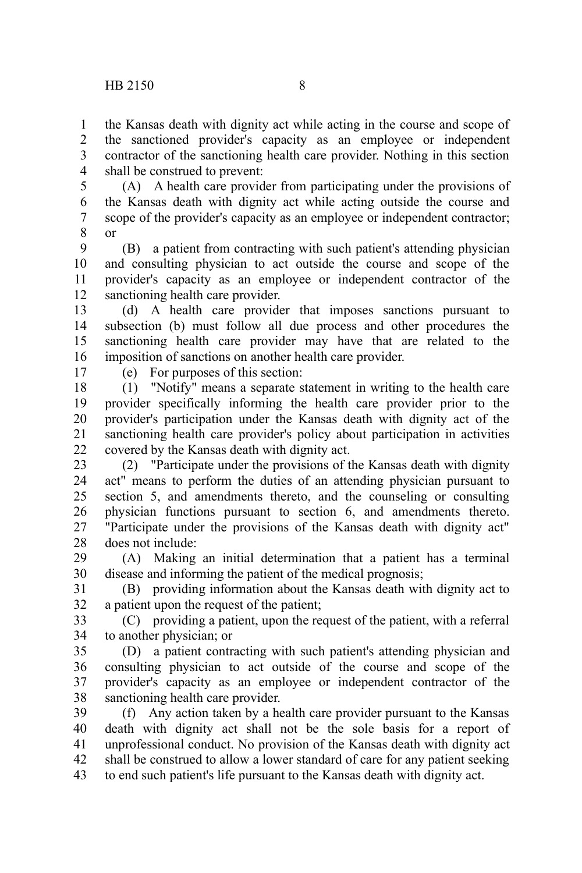the Kansas death with dignity act while acting in the course and scope of the sanctioned provider's capacity as an employee or independent contractor of the sanctioning health care provider. Nothing in this section shall be construed to prevent: 1  $\mathcal{L}$ 3 4

(A) A health care provider from participating under the provisions of the Kansas death with dignity act while acting outside the course and scope of the provider's capacity as an employee or independent contractor; or 5 6 7 8

(B) a patient from contracting with such patient's attending physician and consulting physician to act outside the course and scope of the provider's capacity as an employee or independent contractor of the sanctioning health care provider. 9 10 11 12

(d) A health care provider that imposes sanctions pursuant to subsection (b) must follow all due process and other procedures the sanctioning health care provider may have that are related to the imposition of sanctions on another health care provider. 13 14 15 16

17

(e) For purposes of this section:

(1) "Notify" means a separate statement in writing to the health care provider specifically informing the health care provider prior to the provider's participation under the Kansas death with dignity act of the sanctioning health care provider's policy about participation in activities covered by the Kansas death with dignity act. 18 19 20 21 22

(2) "Participate under the provisions of the Kansas death with dignity act" means to perform the duties of an attending physician pursuant to section 5, and amendments thereto, and the counseling or consulting physician functions pursuant to section 6, and amendments thereto. "Participate under the provisions of the Kansas death with dignity act" does not include: 23 24 25 26 27 28

(A) Making an initial determination that a patient has a terminal disease and informing the patient of the medical prognosis; 29 30

(B) providing information about the Kansas death with dignity act to a patient upon the request of the patient; 31 32

(C) providing a patient, upon the request of the patient, with a referral to another physician; or 33 34

(D) a patient contracting with such patient's attending physician and consulting physician to act outside of the course and scope of the provider's capacity as an employee or independent contractor of the sanctioning health care provider. 35 36 37 38

(f) Any action taken by a health care provider pursuant to the Kansas death with dignity act shall not be the sole basis for a report of unprofessional conduct. No provision of the Kansas death with dignity act shall be construed to allow a lower standard of care for any patient seeking to end such patient's life pursuant to the Kansas death with dignity act. 39 40 41 42 43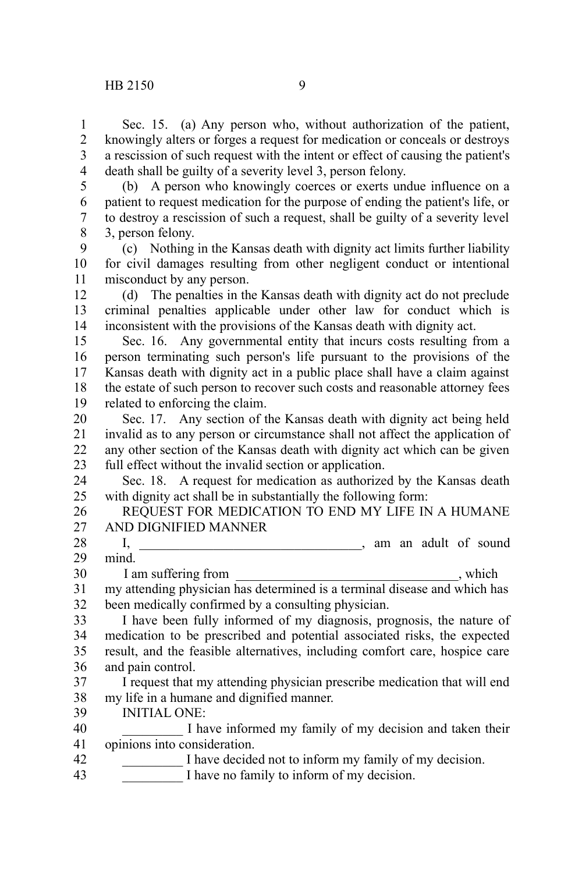5

Sec. 15. (a) Any person who, without authorization of the patient, knowingly alters or forges a request for medication or conceals or destroys a rescission of such request with the intent or effect of causing the patient's death shall be guilty of a severity level 3, person felony. 1 2 3 4

(b) A person who knowingly coerces or exerts undue influence on a patient to request medication for the purpose of ending the patient's life, or

to destroy a rescission of such a request, shall be guilty of a severity level 3, person felony. 6 7 8

(c) Nothing in the Kansas death with dignity act limits further liability for civil damages resulting from other negligent conduct or intentional misconduct by any person. 9 10 11

(d) The penalties in the Kansas death with dignity act do not preclude criminal penalties applicable under other law for conduct which is inconsistent with the provisions of the Kansas death with dignity act. 12 13 14

Sec. 16. Any governmental entity that incurs costs resulting from a person terminating such person's life pursuant to the provisions of the Kansas death with dignity act in a public place shall have a claim against the estate of such person to recover such costs and reasonable attorney fees related to enforcing the claim. 15 16 17 18 19

Sec. 17. Any section of the Kansas death with dignity act being held invalid as to any person or circumstance shall not affect the application of any other section of the Kansas death with dignity act which can be given full effect without the invalid section or application. 20 21 22 23

Sec. 18. A request for medication as authorized by the Kansas death with dignity act shall be in substantially the following form: 24 25

REQUEST FOR MEDICATION TO END MY LIFE IN A HUMANE AND DIGNIFIED MANNER 26 27

I, \_\_\_\_\_\_\_\_\_\_\_\_\_\_\_\_\_\_\_\_\_\_\_\_\_\_\_\_\_\_\_\_\_, am an adult of sound mind. 28 29

I am suffering from which 30

my attending physician has determined is a terminal disease and which has been medically confirmed by a consulting physician. 31 32

I have been fully informed of my diagnosis, prognosis, the nature of medication to be prescribed and potential associated risks, the expected result, and the feasible alternatives, including comfort care, hospice care and pain control. 33 34 35 36

I request that my attending physician prescribe medication that will end my life in a humane and dignified manner. 37 38

INITIAL ONE: 39

I have informed my family of my decision and taken their opinions into consideration. 40 41

- I have decided not to inform my family of my decision. 42
- I have no family to inform of my decision. 43